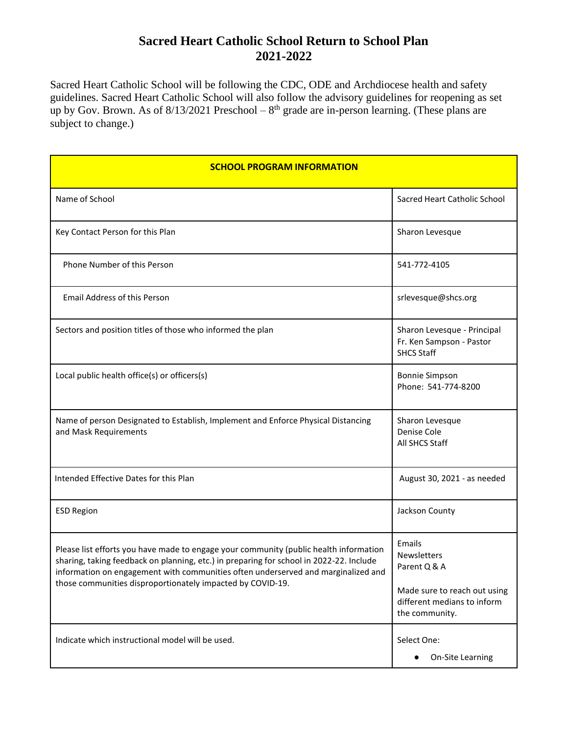## **Sacred Heart Catholic School Return to School Plan 2021-2022**

Sacred Heart Catholic School will be following the CDC, ODE and Archdiocese health and safety guidelines. Sacred Heart Catholic School will also follow the advisory guidelines for reopening as set up by Gov. Brown. As of  $8/13/2021$  Preschool  $-8<sup>th</sup>$  grade are in-person learning. (These plans are subject to change.)

| <b>SCHOOL PROGRAM INFORMATION</b>                                                                                                                                                                                                                                                                                                   |                                                                                                                        |  |
|-------------------------------------------------------------------------------------------------------------------------------------------------------------------------------------------------------------------------------------------------------------------------------------------------------------------------------------|------------------------------------------------------------------------------------------------------------------------|--|
| Name of School                                                                                                                                                                                                                                                                                                                      | Sacred Heart Catholic School                                                                                           |  |
| Key Contact Person for this Plan                                                                                                                                                                                                                                                                                                    | Sharon Levesque                                                                                                        |  |
| Phone Number of this Person                                                                                                                                                                                                                                                                                                         | 541-772-4105                                                                                                           |  |
| <b>Email Address of this Person</b>                                                                                                                                                                                                                                                                                                 | srlevesque@shcs.org                                                                                                    |  |
| Sectors and position titles of those who informed the plan                                                                                                                                                                                                                                                                          | Sharon Levesque - Principal<br>Fr. Ken Sampson - Pastor<br><b>SHCS Staff</b>                                           |  |
| Local public health office(s) or officers(s)                                                                                                                                                                                                                                                                                        | <b>Bonnie Simpson</b><br>Phone: 541-774-8200                                                                           |  |
| Name of person Designated to Establish, Implement and Enforce Physical Distancing<br>and Mask Requirements                                                                                                                                                                                                                          | Sharon Levesque<br>Denise Cole<br>All SHCS Staff                                                                       |  |
| Intended Effective Dates for this Plan                                                                                                                                                                                                                                                                                              | August 30, 2021 - as needed                                                                                            |  |
| <b>ESD Region</b>                                                                                                                                                                                                                                                                                                                   | Jackson County                                                                                                         |  |
| Please list efforts you have made to engage your community (public health information<br>sharing, taking feedback on planning, etc.) in preparing for school in 2022-22. Include<br>information on engagement with communities often underserved and marginalized and<br>those communities disproportionately impacted by COVID-19. | Emails<br>Newsletters<br>Parent Q & A<br>Made sure to reach out using<br>different medians to inform<br>the community. |  |
| Indicate which instructional model will be used.                                                                                                                                                                                                                                                                                    | Select One:<br>On-Site Learning<br>$\bullet$                                                                           |  |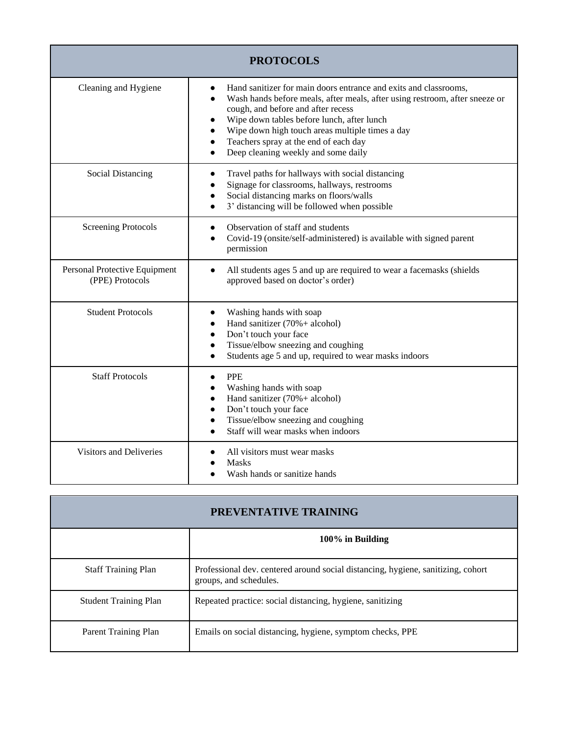| <b>PROTOCOLS</b>                                 |                                                                                                                                                                                                                                                                                                                                                                                     |
|--------------------------------------------------|-------------------------------------------------------------------------------------------------------------------------------------------------------------------------------------------------------------------------------------------------------------------------------------------------------------------------------------------------------------------------------------|
| Cleaning and Hygiene                             | Hand sanitizer for main doors entrance and exits and classrooms,<br>Wash hands before meals, after meals, after using restroom, after sneeze or<br>cough, and before and after recess<br>Wipe down tables before lunch, after lunch<br>Wipe down high touch areas multiple times a day<br>Teachers spray at the end of each day<br>$\bullet$<br>Deep cleaning weekly and some daily |
| <b>Social Distancing</b>                         | Travel paths for hallways with social distancing<br>Signage for classrooms, hallways, restrooms<br>Social distancing marks on floors/walls<br>3' distancing will be followed when possible<br>$\bullet$                                                                                                                                                                             |
| <b>Screening Protocols</b>                       | Observation of staff and students<br>Covid-19 (onsite/self-administered) is available with signed parent<br>permission                                                                                                                                                                                                                                                              |
| Personal Protective Equipment<br>(PPE) Protocols | All students ages 5 and up are required to wear a facemasks (shields<br>$\bullet$<br>approved based on doctor's order)                                                                                                                                                                                                                                                              |
| <b>Student Protocols</b>                         | Washing hands with soap<br>Hand sanitizer $(70% + \text{alcohol})$<br>$\bullet$<br>Don't touch your face<br>$\bullet$<br>Tissue/elbow sneezing and coughing<br>Students age 5 and up, required to wear masks indoors                                                                                                                                                                |
| <b>Staff Protocols</b>                           | <b>PPE</b><br>$\bullet$<br>Washing hands with soap<br>Hand sanitizer $(70% + \text{alcohol})$<br>$\bullet$<br>Don't touch your face<br>Tissue/elbow sneezing and coughing<br>Staff will wear masks when indoors                                                                                                                                                                     |
| <b>Visitors and Deliveries</b>                   | All visitors must wear masks<br><b>Masks</b><br>Wash hands or sanitize hands                                                                                                                                                                                                                                                                                                        |

| <b>PREVENTATIVE TRAINING</b> |                                                                                                            |
|------------------------------|------------------------------------------------------------------------------------------------------------|
|                              | 100% in Building                                                                                           |
| <b>Staff Training Plan</b>   | Professional dev. centered around social distancing, hygiene, sanitizing, cohort<br>groups, and schedules. |
| <b>Student Training Plan</b> | Repeated practice: social distancing, hygiene, sanitizing                                                  |
| Parent Training Plan         | Emails on social distancing, hygiene, symptom checks, PPE                                                  |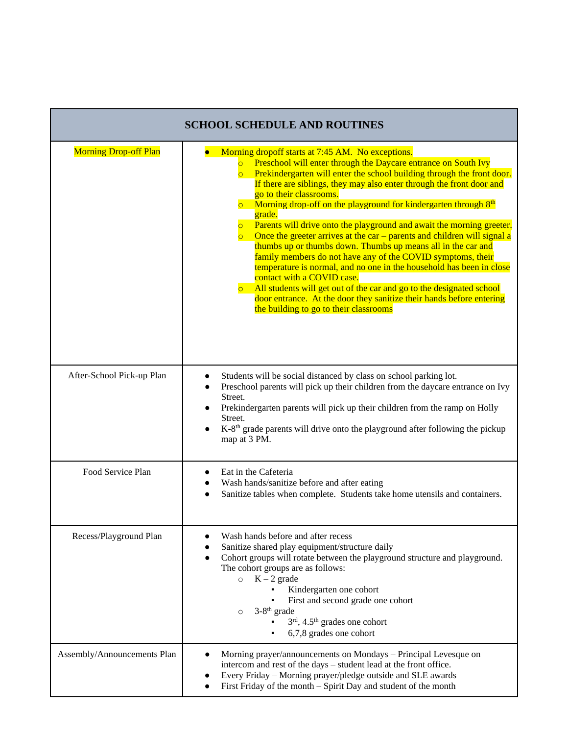| <b>SCHOOL SCHEDULE AND ROUTINES</b> |                                                                                                                                                                                                                                                                                                                                                                                                                                                                                                                                                                                                                                                                                                                                                                                                                                                                                                                                                                                                                                                                                                                          |
|-------------------------------------|--------------------------------------------------------------------------------------------------------------------------------------------------------------------------------------------------------------------------------------------------------------------------------------------------------------------------------------------------------------------------------------------------------------------------------------------------------------------------------------------------------------------------------------------------------------------------------------------------------------------------------------------------------------------------------------------------------------------------------------------------------------------------------------------------------------------------------------------------------------------------------------------------------------------------------------------------------------------------------------------------------------------------------------------------------------------------------------------------------------------------|
| <b>Morning Drop-off Plan</b>        | Morning dropoff starts at 7:45 AM. No exceptions.<br>Preschool will enter through the Daycare entrance on South Ivy<br>$\circ$<br>Prekindergarten will enter the school building through the front door.<br>$\overline{\circ}$<br>If there are siblings, they may also enter through the front door and<br>go to their classrooms.<br>Morning drop-off on the playground for kindergarten through 8 <sup>th</sup><br>$\overline{\circ}$<br>grade.<br>Parents will drive onto the playground and await the morning greeter.<br>$\overline{\mathsf{C}}$<br>Once the greeter arrives at the car $-$ parents and children will signal a<br>$\overline{\mathsf{O}}$<br>thumbs up or thumbs down. Thumbs up means all in the car and<br>family members do not have any of the COVID symptoms, their<br>temperature is normal, and no one in the household has been in close<br>contact with a COVID case.<br>All students will get out of the car and go to the designated school<br>$\overline{\mathsf{O}}$<br>door entrance. At the door they sanitize their hands before entering<br>the building to go to their classrooms |
| After-School Pick-up Plan           | Students will be social distanced by class on school parking lot.<br>$\bullet$<br>Preschool parents will pick up their children from the daycare entrance on Ivy<br>Street.<br>Prekindergarten parents will pick up their children from the ramp on Holly<br>Street.<br>K-8 <sup>th</sup> grade parents will drive onto the playground after following the pickup<br>map at 3 PM.                                                                                                                                                                                                                                                                                                                                                                                                                                                                                                                                                                                                                                                                                                                                        |
| Food Service Plan                   | Eat in the Cafeteria<br>Wash hands/sanitize before and after eating<br>$\bullet$<br>Sanitize tables when complete. Students take home utensils and containers.                                                                                                                                                                                                                                                                                                                                                                                                                                                                                                                                                                                                                                                                                                                                                                                                                                                                                                                                                           |
| Recess/Playground Plan              | Wash hands before and after recess<br>$\bullet$<br>Sanitize shared play equipment/structure daily<br>$\bullet$<br>Cohort groups will rotate between the playground structure and playground.<br>$\bullet$<br>The cohort groups are as follows:<br>$K - 2$ grade<br>$\circ$<br>Kindergarten one cohort<br>First and second grade one cohort<br>3-8 <sup>th</sup> grade<br>$\circ$<br>$3rd$ , 4.5 <sup>th</sup> grades one cohort<br>6,7,8 grades one cohort                                                                                                                                                                                                                                                                                                                                                                                                                                                                                                                                                                                                                                                               |
| Assembly/Announcements Plan         | Morning prayer/announcements on Mondays - Principal Levesque on<br>intercom and rest of the days - student lead at the front office.<br>Every Friday - Morning prayer/pledge outside and SLE awards<br>$\bullet$<br>First Friday of the month - Spirit Day and student of the month<br>$\bullet$                                                                                                                                                                                                                                                                                                                                                                                                                                                                                                                                                                                                                                                                                                                                                                                                                         |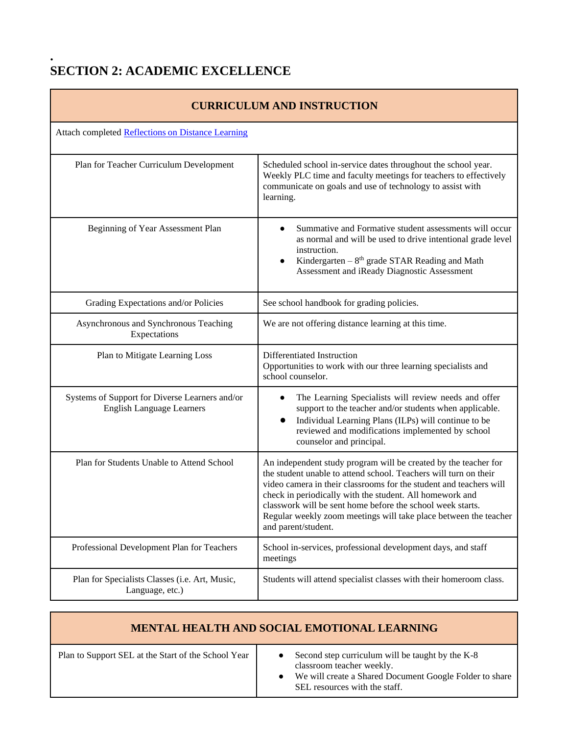## **. SECTION 2: ACADEMIC EXCELLENCE**

| <b>CURRICULUM AND INSTRUCTION</b>                                                  |                                                                                                                                                                                                                                                                                                                                                                                                                                |
|------------------------------------------------------------------------------------|--------------------------------------------------------------------------------------------------------------------------------------------------------------------------------------------------------------------------------------------------------------------------------------------------------------------------------------------------------------------------------------------------------------------------------|
| Attach completed <b>Reflections on Distance Learning</b>                           |                                                                                                                                                                                                                                                                                                                                                                                                                                |
| Plan for Teacher Curriculum Development                                            | Scheduled school in-service dates throughout the school year.<br>Weekly PLC time and faculty meetings for teachers to effectively<br>communicate on goals and use of technology to assist with<br>learning.                                                                                                                                                                                                                    |
| Beginning of Year Assessment Plan                                                  | Summative and Formative student assessments will occur<br>as normal and will be used to drive intentional grade level<br>instruction.<br>Kindergarten – $8th$ grade STAR Reading and Math<br>Assessment and iReady Diagnostic Assessment                                                                                                                                                                                       |
| Grading Expectations and/or Policies                                               | See school handbook for grading policies.                                                                                                                                                                                                                                                                                                                                                                                      |
| Asynchronous and Synchronous Teaching<br>Expectations                              | We are not offering distance learning at this time.                                                                                                                                                                                                                                                                                                                                                                            |
| Plan to Mitigate Learning Loss                                                     | Differentiated Instruction<br>Opportunities to work with our three learning specialists and<br>school counselor.                                                                                                                                                                                                                                                                                                               |
| Systems of Support for Diverse Learners and/or<br><b>English Language Learners</b> | The Learning Specialists will review needs and offer<br>support to the teacher and/or students when applicable.<br>Individual Learning Plans (ILPs) will continue to be<br>reviewed and modifications implemented by school<br>counselor and principal.                                                                                                                                                                        |
| Plan for Students Unable to Attend School                                          | An independent study program will be created by the teacher for<br>the student unable to attend school. Teachers will turn on their<br>video camera in their classrooms for the student and teachers will<br>check in periodically with the student. All homework and<br>classwork will be sent home before the school week starts.<br>Regular weekly zoom meetings will take place between the teacher<br>and parent/student. |
| Professional Development Plan for Teachers                                         | School in-services, professional development days, and staff<br>meetings                                                                                                                                                                                                                                                                                                                                                       |
| Plan for Specialists Classes (i.e. Art, Music,<br>Language, etc.)                  | Students will attend specialist classes with their homeroom class.                                                                                                                                                                                                                                                                                                                                                             |

**MENTAL HEALTH AND SOCIAL EMOTIONAL LEARNING**

Plan to Support SEL at the Start of the School Year **•** Second step curriculum will be taught by the K-8 classroom teacher weekly. • We will create a Shared Document Google Folder to share SEL resources with the staff.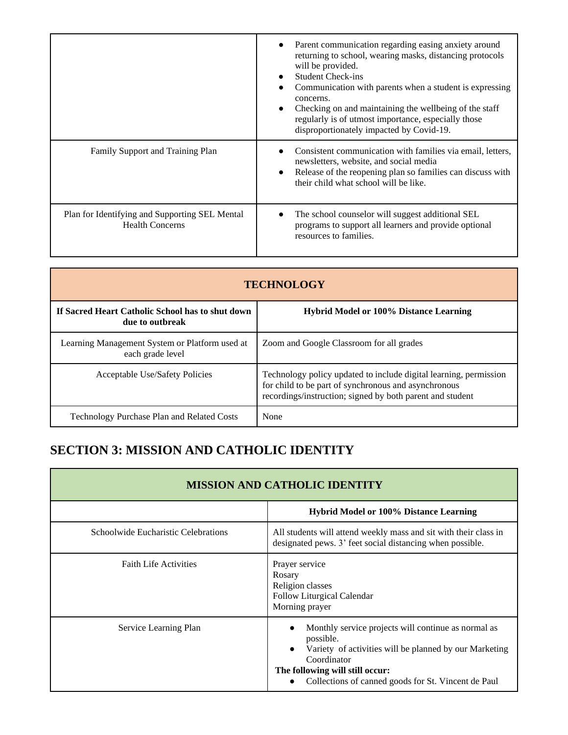|                                                                          | Parent communication regarding easing anxiety around<br>returning to school, wearing masks, distancing protocols<br>will be provided.<br><b>Student Check-ins</b><br>Communication with parents when a student is expressing<br>concerns.<br>Checking on and maintaining the wellbeing of the staff<br>regularly is of utmost importance, especially those<br>disproportionately impacted by Covid-19. |
|--------------------------------------------------------------------------|--------------------------------------------------------------------------------------------------------------------------------------------------------------------------------------------------------------------------------------------------------------------------------------------------------------------------------------------------------------------------------------------------------|
| Family Support and Training Plan                                         | Consistent communication with families via email, letters,<br>newsletters, website, and social media<br>Release of the reopening plan so families can discuss with<br>their child what school will be like.                                                                                                                                                                                            |
| Plan for Identifying and Supporting SEL Mental<br><b>Health Concerns</b> | The school counselor will suggest additional SEL<br>programs to support all learners and provide optional<br>resources to families.                                                                                                                                                                                                                                                                    |

| <b>TECHNOLOGY</b>                                                   |                                                                                                                                                                                        |
|---------------------------------------------------------------------|----------------------------------------------------------------------------------------------------------------------------------------------------------------------------------------|
| If Sacred Heart Catholic School has to shut down<br>due to outbreak | <b>Hybrid Model or 100% Distance Learning</b>                                                                                                                                          |
| Learning Management System or Platform used at<br>each grade level  | Zoom and Google Classroom for all grades                                                                                                                                               |
| Acceptable Use/Safety Policies                                      | Technology policy updated to include digital learning, permission<br>for child to be part of synchronous and asynchronous<br>recordings/instruction; signed by both parent and student |
| <b>Technology Purchase Plan and Related Costs</b>                   | None                                                                                                                                                                                   |

## **SECTION 3: MISSION AND CATHOLIC IDENTITY**

| <b>MISSION AND CATHOLIC IDENTITY</b> |                                                                                                                                                                                                                                                  |
|--------------------------------------|--------------------------------------------------------------------------------------------------------------------------------------------------------------------------------------------------------------------------------------------------|
|                                      | <b>Hybrid Model or 100% Distance Learning</b>                                                                                                                                                                                                    |
| Schoolwide Eucharistic Celebrations  | All students will attend weekly mass and sit with their class in<br>designated pews. 3' feet social distancing when possible.                                                                                                                    |
| <b>Faith Life Activities</b>         | Prayer service<br>Rosary<br>Religion classes<br>Follow Liturgical Calendar<br>Morning prayer                                                                                                                                                     |
| Service Learning Plan                | Monthly service projects will continue as normal as<br>possible.<br>Variety of activities will be planned by our Marketing<br>$\bullet$<br>Coordinator<br>The following will still occur:<br>Collections of canned goods for St. Vincent de Paul |